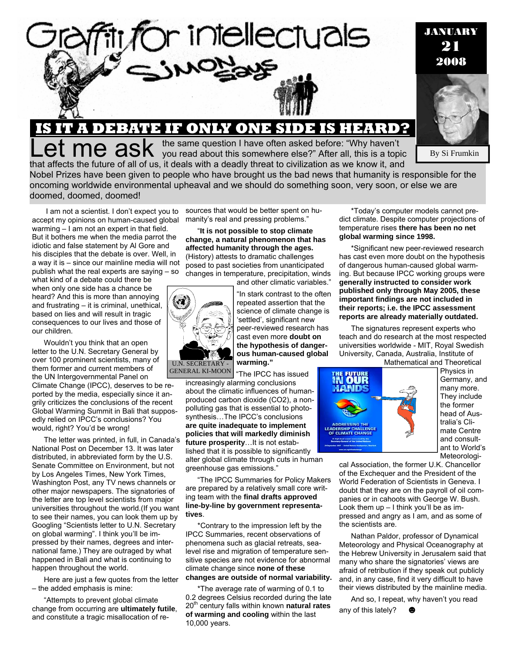

## **IS IT A DEBATE IF ONLY ONE SIDE IS HEARD?**

Let me asked before: "Why haven't you read about this somewhere else?" After all, this is a topic that affects the future of all of us, it deals with a deadly threat to civilization as we know it, and

By Si Frumkin

JANUARY 21 2008

Nobel Prizes have been given to people who have brought us the bad news that humanity is responsible for the oncoming worldwide environmental upheaval and we should do something soon, very soon, or else we are doomed, doomed, doomed!

 I am not a scientist. I don't expect you to accept my opinions on human-caused global manity's real and pressing problems." warming – I am not an expert in that field. But it bothers me when the media parrot the idiotic and false statement by Al Gore and his disciples that the debate is over. Well, in a way it is – since our mainline media will not publish what the real experts are saying – so

what kind of a debate could there be when only one side has a chance be heard? And this is more than annoying and frustrating – it is criminal, unethical, based on lies and will result in tragic consequences to our lives and those of our children.

Wouldn't you think that an open letter to the U.N. Secretary General by over 100 prominent scientists, many of them former and current members of the UN Intergovernmental Panel on Climate Change (IPCC), deserves to be reported by the media, especially since it angrily criticizes the conclusions of the recent Global Warming Summit in Bali that supposedly relied on IPCC's conclusions? You would, right? You'd be wrong!

The letter was printed, in full, in Canada's National Post on December 13. It was later distributed, in abbreviated form by the U.S. Senate Committee on Environment, but not by Los Angeles Times, New York Times, Washington Post, any TV news channels or other major newspapers. The signatories of the letter are top level scientists from major universities throughout the world.(If you want to see their names, you can look them up by Googling "Scientists letter to U.N. Secretary on global warming". I think you'll be impressed by their names, degrees and international fame.) They are outraged by what happened in Bali and what is continuing to happen throughout the world.

Here are just a few quotes from the letter – the added emphasis is mine:

"Attempts to prevent global climate change from occurring are **ultimately futile**, and constitute a tragic misallocation of resources that would be better spent on hu-

"**It is not possible to stop climate change, a natural phenomenon that has affected humanity through the ages.** (History) attests to dramatic challenges posed to past societies from unanticipated changes in temperature, precipitation, winds and other climatic variables."



"In stark contrast to the often repeated assertion that the science of climate change is 'settled', significant new peer-reviewed research has cast even more **doubt on the hypothesis of dangerous human-caused global warming."** 

"The IPCC has issued GENERAL KI-MOON

increasingly alarming conclusions about the climatic influences of humanproduced carbon dioxide (CO2), a nonpolluting gas that is essential to photosynthesis…The IPCC's conclusions **are quite inadequate to implement policies that will markedly diminish future prosperity**…It is not established that it is possible to significantly alter global climate through cuts in human greenhouse gas emissions."

"The IPCC Summaries for Policy Makers are prepared by a relatively small core writing team with the **final drafts approved line-by-line by government representatives**.

\*Contrary to the impression left by the IPCC Summaries, recent observations of phenomena such as glacial retreats, sealevel rise and migration of temperature sensitive species are not evidence for abnormal climate change since **none of these changes are outside of normal variability.** 

\*The average rate of warming of 0.1 to 0.2 degrees Celsius recorded during the late 20th century falls within known **natural rates of warming and cooling** within the last 10,000 years.

\*Today's computer models cannot predict climate. Despite computer projections of temperature rises **there has been no net global warming since 1998.**

\*Significant new peer-reviewed research has cast even more doubt on the hypothesis of dangerous human-caused global warming. But because IPCC working groups were **generally instructed to consider work published only through May 2005, these important findings are not included in their reports; i.e. the IPCC assessment reports are already materially outdated.** 

The signatures represent experts who teach and do research at the most respected universities worldwide - MIT, Royal Swedish University, Canada, Australia, Institute of



Physics in Germany, and many more. They include the former head of Australia's Climate Centre and consultant to World's Meteorologi-

cal Association, the former U.K. Chancellor of the Exchequer and the President of the World Federation of Scientists in Geneva. I doubt that they are on the payroll of oil companies or in cahoots with George W. Bush. Look them  $up - I$  think you'll be as impressed and angry as I am, and as some of the scientists are.

Nathan Paldor, professor of Dynamical Meteorology and Physical Oceanography at the Hebrew University in Jerusalem said that many who share the signatories' views are afraid of retribution if they speak out publicly and, in any case, find it very difficult to have their views distributed by the mainline media.

And so, I repeat, why haven't you read any of this lately?  $\bigcirc$ 

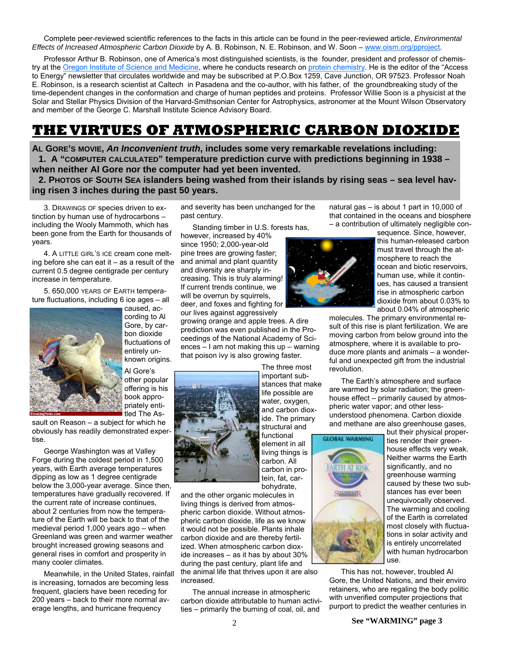Complete peer-reviewed scientific references to the facts in this article can be found in the peer-reviewed article, *Environmental Effects of Increased Atmospheric Carbon Dioxide* by A. B. Robinson, N. E. Robinson, and W. Soon – www.oism.org/pproject.

Professor Arthur B. Robinson, one of America's most distinguished scientists, is the founder, president and professor of chemistry at the Oregon Institute of Science and Medicine, where he conducts research on protein chemistry. He is the editor of the "Access to Energy" newsletter that circulates worldwide and may be subscribed at P.O.Box 1259, Cave Junction, OR 97523. Professor Noah E. Robinson, is a research scientist at Caltech in Pasadena and the co-author, with his father, of the groundbreaking study of the time-dependent changes in the conformation and charge of human peptides and proteins. Professor Willie Soon is a physicist at the Solar and Stellar Physics Division of the Harvard-Smithsonian Center for Astrophysics, astronomer at the Mount Wilson Observatory and member of the George C. Marshall Institute Science Advisory Board.

## **THE VIRTUES OF ATMOSPHERIC CARBON DIOXIDE**

**AL GORE'S MOVIE,** *An Inconvenient truth***, includes some very remarkable revelations including: 1. A "COMPUTER CALCULATED" temperature prediction curve with predictions beginning in 1938 – when neither Al Gore nor the computer had yet been invented.** 

**2. PHOTOS OF SOUTH SEA islanders being washed from their islands by rising seas – sea level having risen 3 inches during the past 50 years.** 

3. DRAWINGS OF species driven to extinction by human use of hydrocarbons – including the Wooly Mammoth, which has been gone from the Earth for thousands of years.

4. A LITTLE GIRL'S ICE cream cone melting before she can eat it – as a result of the current 0.5 degree centigrade per century increase in temperature.

5. 650,000 YEARS OF EARTH temperature fluctuations, including 6 ice ages – all



caused, according to Al Gore, by carbon dioxide fluctuations of entirely unknown origins.

Al Gore's other popular offering is his book appropriately entitled The As-

sault on Reason – a subject for which he obviously has readily demonstrated expertise.

George Washington was at Valley Forge during the coldest period in 1,500 years, with Earth average temperatures dipping as low as 1 degree centigrade below the 3,000-year average. Since then, temperatures have gradually recovered. If the current rate of increase continues, about 2 centuries from now the temperature of the Earth will be back to that of the medieval period 1,000 years ago – when Greenland was green and warmer weather brought increased growing seasons and general rises in comfort and prosperity in many cooler climates.

Meanwhile, in the United States, rainfall is increasing, tornados are becoming less frequent, glaciers have been receding for 200 years – back to their more normal average lengths, and hurricane frequency

and severity has been unchanged for the past century.

Standing timber in U.S. forests has,

however, increased by 40% since 1950; 2,000-year-old pine trees are growing faster; and animal and plant quantity and diversity are sharply increasing. This is truly alarming! If current trends continue, we will be overrun by squirrels, deer, and foxes and fighting for our lives against aggressively

growing orange and apple trees. A dire prediction was even published in the Proceedings of the National Academy of Sciences – I am not making this up – warning that poison ivy is also growing faster.



The three most important substances that make life possible are water, oxygen, and carbon dioxide. The primary structural and functional element in all

living things is carbon. All carbon in protein, fat, carbohydrate,

and the other organic molecules in living things is derived from atmospheric carbon dioxide. Without atmospheric carbon dioxide, life as we know it would not be possible. Plants inhale carbon dioxide and are thereby fertilized. When atmospheric carbon dioxide increases – as it has by about 30% during the past century, plant life and

the animal life that thrives upon it are also increased.

The annual increase in atmospheric carbon dioxide attributable to human activities – primarily the burning of coal, oil, and

natural gas – is about 1 part in 10,000 of that contained in the oceans and biosphere – a contribution of ultimately negligible con-

sequence. Since, however,



this human-released carbon must travel through the atmosphere to reach the ocean and biotic reservoirs, human use, while it continues, has caused a transient rise in atmospheric carbon dioxide from about 0.03% to about 0.04% of atmospheric

molecules. The primary environmental result of this rise is plant fertilization. We are moving carbon from below ground into the atmosphere, where it is available to produce more plants and animals – a wonderful and unexpected gift from the industrial revolution.

The Earth's atmosphere and surface are warmed by solar radiation; the greenhouse effect – primarily caused by atmospheric water vapor; and other lessunderstood phenomena. Carbon dioxide and methane are also greenhouse gases,



but their physical properties render their greenhouse effects very weak. Neither warms the Earth significantly, and no greenhouse warming caused by these two substances has ever been unequivocally observed. The warming and cooling of the Earth is correlated most closely with fluctuations in solar activity and is entirely uncorrelated with human hydrocarbon use.

This has not, however, troubled Al Gore, the United Nations, and their enviro retainers, who are regaling the body politic with unverified computer projections that purport to predict the weather centuries in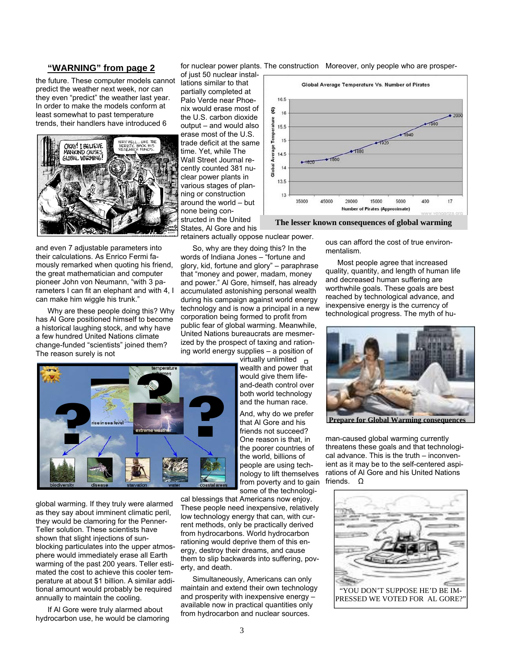## **"WARNING" from page 2**

the future. These computer models cannot predict the weather next week, nor can they even "predict" the weather last year. In order to make the models conform at least somewhat to past temperature trends, their handlers have introduced 6



and even 7 adjustable parameters into their calculations. As Enrico Fermi famously remarked when quoting his friend, the great mathematician and computer pioneer John von Neumann, "with 3 parameters I can fit an elephant and with 4, I can make him wiggle his trunk."

Why are these people doing this? Why has Al Gore positioned himself to become a historical laughing stock, and why have a few hundred United Nations climate change-funded "scientists" joined them? The reason surely is not

for nuclear power plants. The construction Moreover, only people who are prosper-

of just 50 nuclear installations similar to that partially completed at Palo Verde near Phoenix would erase most of the U.S. carbon dioxide output – and would also erase most of the U.S. trade deficit at the same time. Yet, while The Wall Street Journal recently counted 381 nuclear power plants in various stages of planning or construction around the world – but none being constructed in the United States, Al Gore and his

retainers actually oppose nuclear power.

So, why are they doing this? In the words of Indiana Jones – "fortune and glory, kid, fortune and glory" – paraphrase that "money and power, madam, money and power." Al Gore, himself, has already accumulated astonishing personal wealth during his campaign against world energy technology and is now a principal in a new corporation being formed to profit from public fear of global warming. Meanwhile, United Nations bureaucrats are mesmerized by the prospect of taxing and rationing world energy supplies – a position of

virtually unlimited  $\Box$ wealth and power that would give them lifeand-death control over both world technology and the human race. And, why do we prefer **Proposality**<br> **Proposality**<br> **Proposality**<br> **Proposality**<br> **Proposality**<br> **Proposality** 

that Al Gore and his friends not succeed? One reason is that, in the poorer countries of the world, billions of people are using technology to lift themselves from poverty and to gain some of the technologi-

global warming. If they truly were alarmed as they say about imminent climatic peril, they would be clamoring for the Penner-Teller solution. These scientists have shown that slight injections of sunblocking particulates into the upper atmosphere would immediately erase all Earth warming of the past 200 years. Teller estimated the cost to achieve this cooler temperature at about \$1 billion. A similar additional amount would probably be required annually to maintain the cooling.

If Al Gore were truly alarmed about hydrocarbon use, he would be clamoring cal blessings that Americans now enjoy. These people need inexpensive, relatively low technology energy that can, with current methods, only be practically derived from hydrocarbons. World hydrocarbon rationing would deprive them of this energy, destroy their dreams, and cause them to slip backwards into suffering, poverty, and death.

Simultaneously, Americans can only maintain and extend their own technology and prosperity with inexpensive energy – available now in practical quantities only from hydrocarbon and nuclear sources.



**The lesser known consequences of global warming** 

ous can afford the cost of true environmentalism.

Most people agree that increased quality, quantity, and length of human life and decreased human suffering are worthwhile goals. These goals are best reached by technological advance, and inexpensive energy is the currency of technological progress. The myth of hu-



**Prepare for Global Warming consequences** 

man-caused global warming currently threatens these goals and that technological advance. This is the truth – inconvenient as it may be to the self-centered aspirations of Al Gore and his United Nations friends. Ω